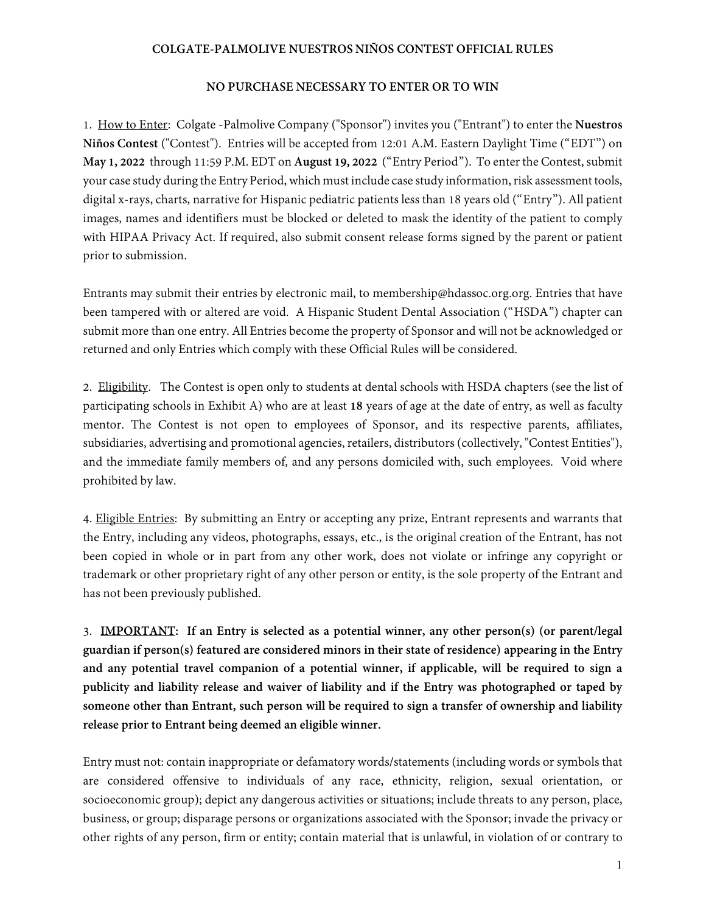## **COLGATE-PALMOLIVE NUESTROSNIÑOS CONTEST OFFICIAL RULES**

## **NO PURCHASE NECESSARY TO ENTER OR TO WIN**

1. How to Enter: Colgate -Palmolive Company ("Sponsor") invites you ("Entrant") to enter the **Nuestros Niños Contest** ("Contest"). Entries will be accepted from 12:01 A.M. Eastern Daylight Time ("EDT") on **May 1, 2022** through 11:59 P.M. EDT on **August 19, 2022** ("Entry Period"). To enter the Contest, submit your case study during the Entry Period, which must include case study information, risk assessment tools, digital x-rays, charts, narrative for Hispanic pediatric patients less than 18 years old ("Entry"). All patient images, names and identifiers must be blocked or deleted to mask the identity of the patient to comply with HIPAA Privacy Act. If required, also submit consent release forms signed by the parent or patient prior to submission.

Entrants may submit their entries by electronic mail, to membership@hdassoc.org.org. Entries that have been tampered with or altered are void. A Hispanic Student Dental Association ("HSDA") chapter can submit more than one entry. All Entries become the property of Sponsor and will not be acknowledged or returned and only Entries which comply with these Official Rules will be considered.

2. Eligibility. The Contest is open only to students at dental schools with HSDA chapters (see the list of participating schools in Exhibit A) who are at least **18** years of age at the date of entry, as well as faculty mentor. The Contest is not open to employees of Sponsor, and its respective parents, affiliates, subsidiaries, advertising and promotional agencies, retailers, distributors (collectively, "Contest Entities"), and the immediate family members of, and any persons domiciled with, such employees. Void where prohibited by law.

4. Eligible Entries: By submitting an Entry or accepting any prize, Entrant represents and warrants that the Entry, including any videos, photographs, essays, etc., is the original creation of the Entrant, has not been copied in whole or in part from any other work, does not violate or infringe any copyright or trademark or other proprietary right of any other person or entity, is the sole property of the Entrant and has not been previously published.

3. **IMPORTANT: If an Entry is selected as a potential winner, any other person(s) (or parent/legal guardian if person(s) featured are considered minors in their state of residence) appearing in the Entry and any potential travel companion of a potential winner, if applicable, will be required to sign a publicity and liability release and waiver of liability and if the Entry was photographed or taped by someone other than Entrant, such person will be required to sign a transfer of ownership and liability release prior to Entrant being deemed an eligible winner.** 

Entry must not: contain inappropriate or defamatory words/statements (including words or symbols that are considered offensive to individuals of any race, ethnicity, religion, sexual orientation, or socioeconomic group); depict any dangerous activities or situations; include threats to any person, place, business, or group; disparage persons or organizations associated with the Sponsor; invade the privacy or other rights of any person, firm or entity; contain material that is unlawful, in violation of or contrary to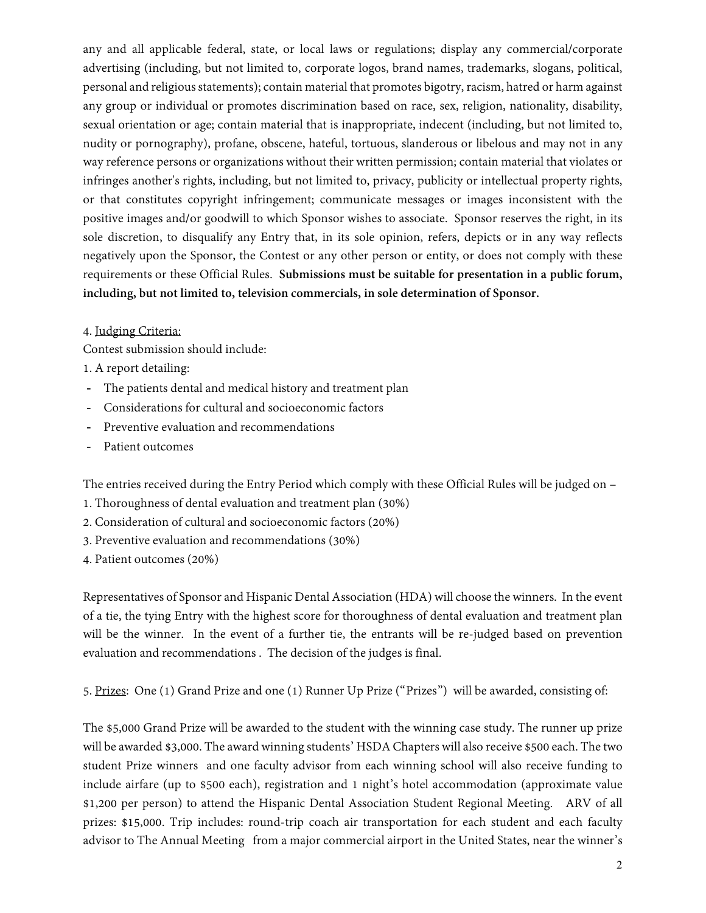any and all applicable federal, state, or local laws or regulations; display any commercial/corporate advertising (including, but not limited to, corporate logos, brand names, trademarks, slogans, political, personal and religious statements); contain material that promotes bigotry, racism, hatred or harm against any group or individual or promotes discrimination based on race, sex, religion, nationality, disability, sexual orientation or age; contain material that is inappropriate, indecent (including, but not limited to, nudity or pornography), profane, obscene, hateful, tortuous, slanderous or libelous and may not in any way reference persons or organizations without their written permission; contain material that violates or infringes another's rights, including, but not limited to, privacy, publicity or intellectual property rights, or that constitutes copyright infringement; communicate messages or images inconsistent with the positive images and/or goodwill to which Sponsor wishes to associate. Sponsor reserves the right, in its sole discretion, to disqualify any Entry that, in its sole opinion, refers, depicts or in any way reflects negatively upon the Sponsor, the Contest or any other person or entity, or does not comply with these requirements or these Official Rules. **Submissions must be suitable for presentation in a public forum, including, but not limited to, television commercials, in sole determination of Sponsor.**

## 4. Judging Criteria:

Contest submission should include:

- 1. A report detailing:
- The patients dental and medical history and treatment plan
- Considerations for cultural and socioeconomic factors
- Preventive evaluation and recommendations
- Patient outcomes

The entries received during the Entry Period which comply with these Official Rules will be judged on –

- 1. Thoroughness of dental evaluation and treatment plan (30%)
- 2. Consideration of cultural and socioeconomic factors (20%)
- 3. Preventive evaluation and recommendations (30%)
- 4. Patient outcomes (20%)

Representatives of Sponsor and Hispanic Dental Association (HDA) will choose the winners. In the event of a tie, the tying Entry with the highest score for thoroughness of dental evaluation and treatment plan will be the winner. In the event of a further tie, the entrants will be re-judged based on prevention evaluation and recommendations . The decision of the judges is final.

5. Prizes: One (1) Grand Prize and one (1) Runner Up Prize ("Prizes") will be awarded, consisting of:

The \$5,000 Grand Prize will be awarded to the student with the winning case study. The runner up prize will be awarded \$3,000. The award winning students' HSDA Chapters will also receive \$500 each. The two student Prize winners and one faculty advisor from each winning school will also receive funding to include airfare (up to \$500 each), registration and 1 night's hotel accommodation (approximate value \$1,200 per person) to attend the Hispanic Dental Association Student Regional Meeting. ARV of all prizes: \$15,000. Trip includes: round-trip coach air transportation for each student and each faculty advisor to The Annual Meeting from a major commercial airport in the United States, near the winner's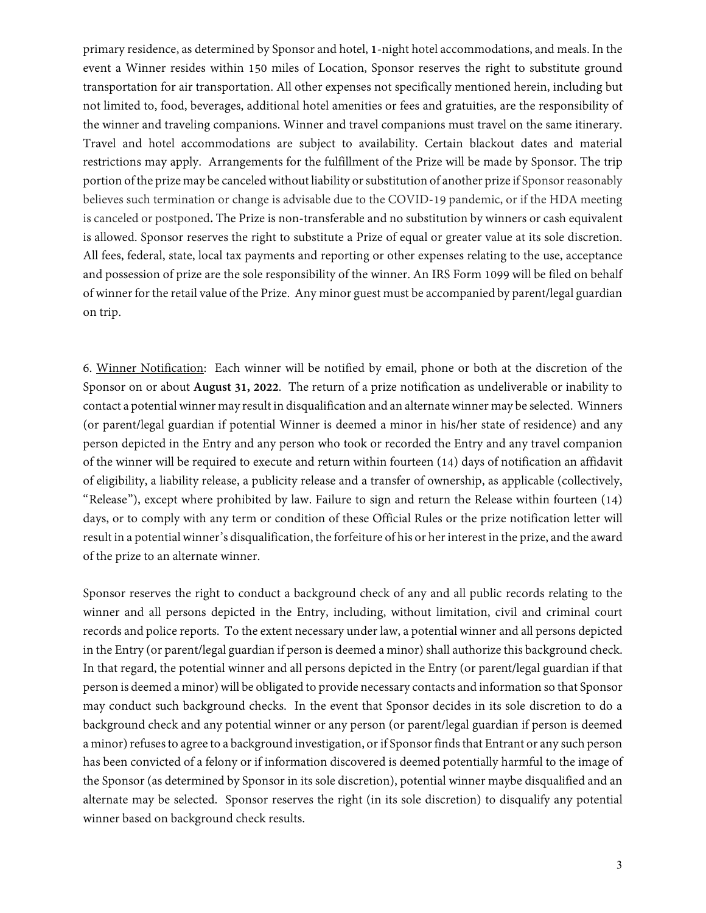primary residence, as determined by Sponsor and hotel, **1**-night hotel accommodations, and meals. In the event a Winner resides within 150 miles of Location, Sponsor reserves the right to substitute ground transportation for air transportation. All other expenses not specifically mentioned herein, including but not limited to, food, beverages, additional hotel amenities or fees and gratuities, are the responsibility of the winner and traveling companions. Winner and travel companions must travel on the same itinerary. Travel and hotel accommodations are subject to availability. Certain blackout dates and material restrictions may apply. Arrangements for the fulfillment of the Prize will be made by Sponsor. The trip portion of the prize may be canceled without liability or substitution of another prize if Sponsor reasonably believes such termination or change is advisable due to the COVID-19 pandemic, or if the HDA meeting is canceled or postponed**.** The Prize is non-transferable and no substitution by winners or cash equivalent is allowed. Sponsor reserves the right to substitute a Prize of equal or greater value at its sole discretion. All fees, federal, state, local tax payments and reporting or other expenses relating to the use, acceptance and possession of prize are the sole responsibility of the winner. An IRS Form 1099 will be filed on behalf of winner for the retail value of the Prize. Any minor guest must be accompanied by parent/legal guardian on trip.

6. Winner Notification: Each winner will be notified by email, phone or both at the discretion of the Sponsor on or about **August 31, 2022**. The return of a prize notification as undeliverable or inability to contact a potential winner may result in disqualification and an alternate winner may be selected. Winners (or parent/legal guardian if potential Winner is deemed a minor in his/her state of residence) and any person depicted in the Entry and any person who took or recorded the Entry and any travel companion of the winner will be required to execute and return within fourteen (14) days of notification an affidavit of eligibility, a liability release, a publicity release and a transfer of ownership, as applicable (collectively, "Release"), except where prohibited by law. Failure to sign and return the Release within fourteen (14) days, or to comply with any term or condition of these Official Rules or the prize notification letter will result in a potential winner's disqualification, the forfeiture of his or her interest in the prize, and the award of the prize to an alternate winner.

Sponsor reserves the right to conduct a background check of any and all public records relating to the winner and all persons depicted in the Entry, including, without limitation, civil and criminal court records and police reports. To the extent necessary under law, a potential winner and all persons depicted in the Entry (or parent/legal guardian if person is deemed a minor) shall authorize this background check. In that regard, the potential winner and all persons depicted in the Entry (or parent/legal guardian if that person is deemed a minor) will be obligated to provide necessary contacts and information so that Sponsor may conduct such background checks. In the event that Sponsor decides in its sole discretion to do a background check and any potential winner or any person (or parent/legal guardian if person is deemed a minor) refuses to agree to a background investigation, or if Sponsor finds that Entrant or any such person has been convicted of a felony or if information discovered is deemed potentially harmful to the image of the Sponsor (as determined by Sponsor in its sole discretion), potential winner maybe disqualified and an alternate may be selected. Sponsor reserves the right (in its sole discretion) to disqualify any potential winner based on background check results.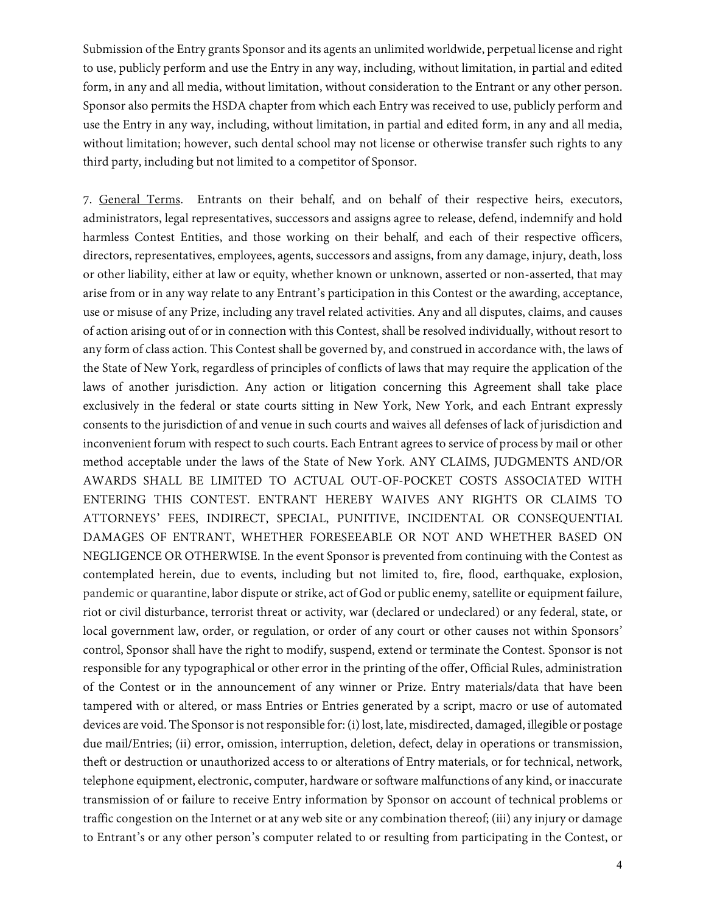Submission of the Entry grants Sponsor and its agents an unlimited worldwide, perpetual license and right to use, publicly perform and use the Entry in any way, including, without limitation, in partial and edited form, in any and all media, without limitation, without consideration to the Entrant or any other person. Sponsor also permits the HSDA chapter from which each Entry was received to use, publicly perform and use the Entry in any way, including, without limitation, in partial and edited form, in any and all media, without limitation; however, such dental school may not license or otherwise transfer such rights to any third party, including but not limited to a competitor of Sponsor.

7. General Terms. Entrants on their behalf, and on behalf of their respective heirs, executors, administrators, legal representatives, successors and assigns agree to release, defend, indemnify and hold harmless Contest Entities, and those working on their behalf, and each of their respective officers, directors, representatives, employees, agents, successors and assigns, from any damage, injury, death, loss or other liability, either at law or equity, whether known or unknown, asserted or non-asserted, that may arise from or in any way relate to any Entrant's participation in this Contest or the awarding, acceptance, use or misuse of any Prize, including any travel related activities. Any and all disputes, claims, and causes of action arising out of or in connection with this Contest, shall be resolved individually, without resort to any form of class action. This Contest shall be governed by, and construed in accordance with, the laws of the State of New York, regardless of principles of conflicts of laws that may require the application of the laws of another jurisdiction. Any action or litigation concerning this Agreement shall take place exclusively in the federal or state courts sitting in New York, New York, and each Entrant expressly consents to the jurisdiction of and venue in such courts and waives all defenses of lack of jurisdiction and inconvenient forum with respect to such courts. Each Entrant agrees to service of process by mail or other method acceptable under the laws of the State of New York. ANY CLAIMS, JUDGMENTS AND/OR AWARDS SHALL BE LIMITED TO ACTUAL OUT-OF-POCKET COSTS ASSOCIATED WITH ENTERING THIS CONTEST. ENTRANT HEREBY WAIVES ANY RIGHTS OR CLAIMS TO ATTORNEYS' FEES, INDIRECT, SPECIAL, PUNITIVE, INCIDENTAL OR CONSEQUENTIAL DAMAGES OF ENTRANT, WHETHER FORESEEABLE OR NOT AND WHETHER BASED ON NEGLIGENCE OR OTHERWISE. In the event Sponsor is prevented from continuing with the Contest as contemplated herein, due to events, including but not limited to, fire, flood, earthquake, explosion, pandemic or quarantine, labor dispute or strike, act of God or public enemy, satellite or equipment failure, riot or civil disturbance, terrorist threat or activity, war (declared or undeclared) or any federal, state, or local government law, order, or regulation, or order of any court or other causes not within Sponsors' control, Sponsor shall have the right to modify, suspend, extend or terminate the Contest. Sponsor is not responsible for any typographical or other error in the printing of the offer, Official Rules, administration of the Contest or in the announcement of any winner or Prize. Entry materials/data that have been tampered with or altered, or mass Entries or Entries generated by a script, macro or use of automated devices are void. The Sponsor is not responsible for: (i) lost, late, misdirected, damaged, illegible or postage due mail/Entries; (ii) error, omission, interruption, deletion, defect, delay in operations or transmission, theft or destruction or unauthorized access to or alterations of Entry materials, or for technical, network, telephone equipment, electronic, computer, hardware or software malfunctions of any kind, or inaccurate transmission of or failure to receive Entry information by Sponsor on account of technical problems or traffic congestion on the Internet or at any web site or any combination thereof; (iii) any injury or damage to Entrant's or any other person's computer related to or resulting from participating in the Contest, or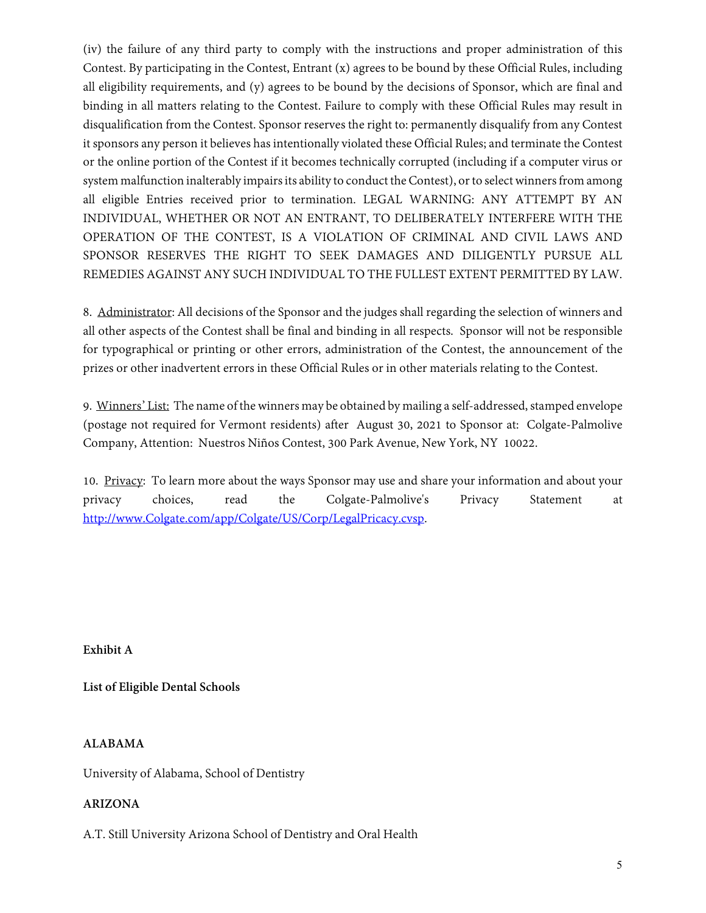(iv) the failure of any third party to comply with the instructions and proper administration of this Contest. By participating in the Contest, Entrant (x) agrees to be bound by these Official Rules, including all eligibility requirements, and (y) agrees to be bound by the decisions of Sponsor, which are final and binding in all matters relating to the Contest. Failure to comply with these Official Rules may result in disqualification from the Contest. Sponsor reserves the right to: permanently disqualify from any Contest it sponsors any person it believes has intentionally violated these Official Rules; and terminate the Contest or the online portion of the Contest if it becomes technically corrupted (including if a computer virus or system malfunction inalterably impairs its ability to conduct the Contest), or to select winners from among all eligible Entries received prior to termination. LEGAL WARNING: ANY ATTEMPT BY AN INDIVIDUAL, WHETHER OR NOT AN ENTRANT, TO DELIBERATELY INTERFERE WITH THE OPERATION OF THE CONTEST, IS A VIOLATION OF CRIMINAL AND CIVIL LAWS AND SPONSOR RESERVES THE RIGHT TO SEEK DAMAGES AND DILIGENTLY PURSUE ALL REMEDIES AGAINST ANY SUCH INDIVIDUAL TO THE FULLEST EXTENT PERMITTED BY LAW.

8. Administrator: All decisions of the Sponsor and the judges shall regarding the selection of winners and all other aspects of the Contest shall be final and binding in all respects. Sponsor will not be responsible for typographical or printing or other errors, administration of the Contest, the announcement of the prizes or other inadvertent errors in these Official Rules or in other materials relating to the Contest.

9. Winners' List: The name of the winners may be obtained by mailing a self-addressed, stamped envelope (postage not required for Vermont residents) after August 30, 2021 to Sponsor at: Colgate-Palmolive Company, Attention: Nuestros Niños Contest, 300 Park Avenue, New York, NY 10022.

10. Privacy: To learn more about the ways Sponsor may use and share your information and about your privacy choices, read the Colgate-Palmolive's Privacy Statement at [http://www.Colgate.com/app/Colgate/US/Corp/LegalPricacy.cvsp.](http://www.colgate.com/app/Colgate/US/Corp/LegalPricacy.cvsp)

**Exhibit A**

**List of Eligible Dental Schools**

# **ALABAMA**

University of Alabama, School of Dentistry

#### **ARIZONA**

A.T. Still University Arizona School of Dentistry and Oral Health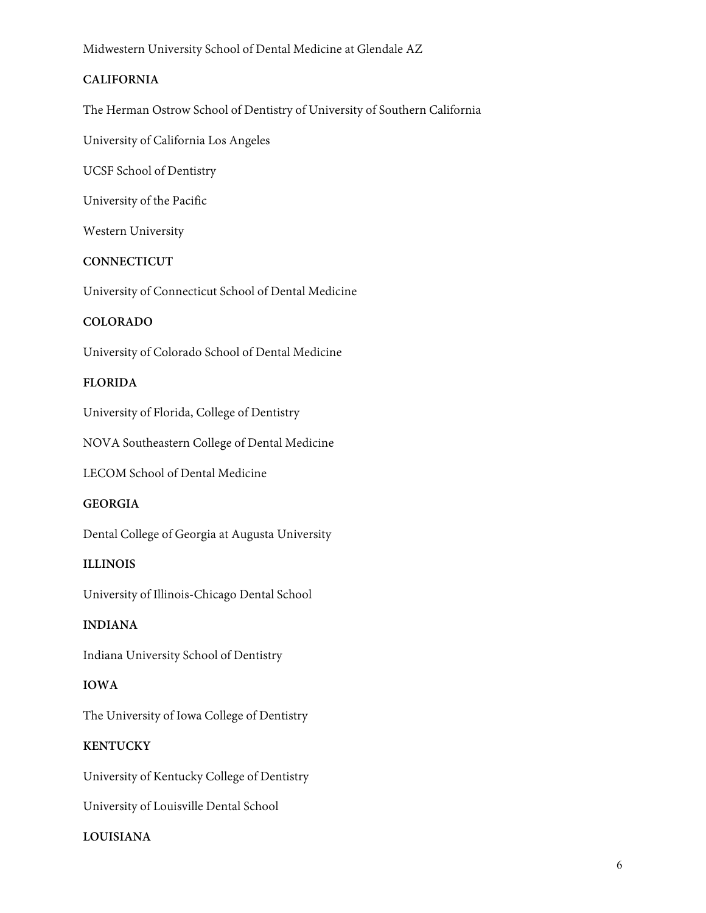Midwestern University School of Dental Medicine at Glendale AZ

# **CALIFORNIA**

The Herman Ostrow School of Dentistry of University of Southern California

University of California Los Angeles

UCSF School of Dentistry

University of the Pacific

Western University

# **CONNECTICUT**

University of Connecticut School of Dental Medicine

## **COLORADO**

University of Colorado School of Dental Medicine

## **FLORIDA**

University of Florida, College of Dentistry

NOVA Southeastern College of Dental Medicine

LECOM School of Dental Medicine

# **GEORGIA**

Dental College of Georgia at Augusta University

#### **ILLINOIS**

University of Illinois-Chicago Dental School

## **INDIANA**

Indiana University School of Dentistry

# **IOWA**

The University of Iowa College of Dentistry

## **KENTUCKY**

University of Kentucky College of Dentistry

University of Louisville Dental School

# **LOUISIANA**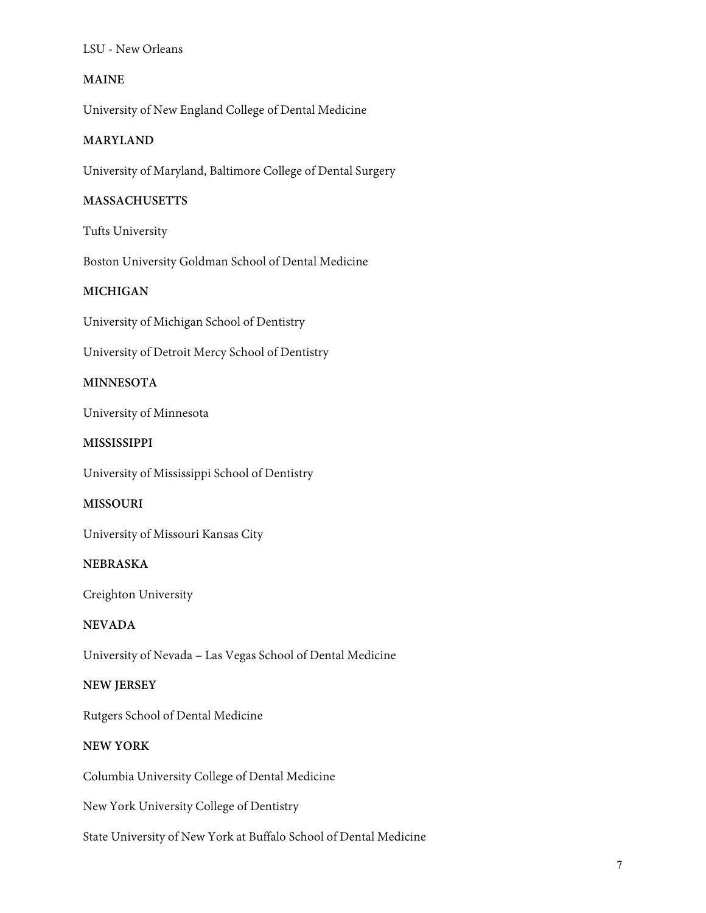#### LSU - New Orleans

## **MAINE**

University of New England College of Dental Medicine

# **MARYLAND**

University of Maryland, Baltimore College of Dental Surgery

#### **MASSACHUSETTS**

Tufts University

Boston University Goldman School of Dental Medicine

# **MICHIGAN**

University of Michigan School of Dentistry

University of Detroit Mercy School of Dentistry

## **MINNESOTA**

University of Minnesota

#### **MISSISSIPPI**

University of Mississippi School of Dentistry

#### **MISSOURI**

University of Missouri Kansas City

### **NEBRASKA**

Creighton University

## **NEVADA**

University of Nevada – Las Vegas School of Dental Medicine

#### **NEW JERSEY**

Rutgers School of Dental Medicine

#### **NEW YORK**

Columbia University College of Dental Medicine

New York University College of Dentistry

State University of New York at Buffalo School of Dental Medicine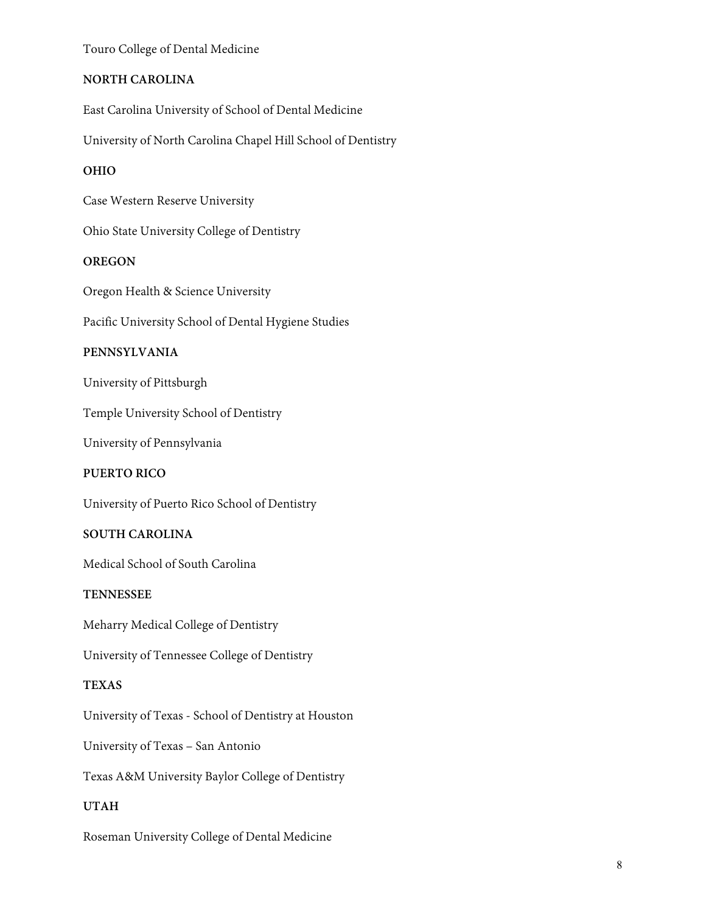Touro College of Dental Medicine

## **NORTH CAROLINA**

East Carolina University of School of Dental Medicine

University of North Carolina Chapel Hill School of Dentistry

## **OHIO**

Case Western Reserve University

Ohio State University College of Dentistry

## **OREGON**

Oregon Health & Science University

Pacific University School of Dental Hygiene Studies

#### **PENNSYLVANIA**

University of Pittsburgh

Temple University School of Dentistry

University of Pennsylvania

## **PUERTO RICO**

University of Puerto Rico School of Dentistry

# **SOUTH CAROLINA**

Medical School of South Carolina

#### **TENNESSEE**

Meharry Medical College of Dentistry

University of Tennessee College of Dentistry

## **TEXAS**

University of Texas - School of Dentistry at Houston

University of Texas – San Antonio

Texas A&M University Baylor College of Dentistry

### **UTAH**

Roseman University College of Dental Medicine